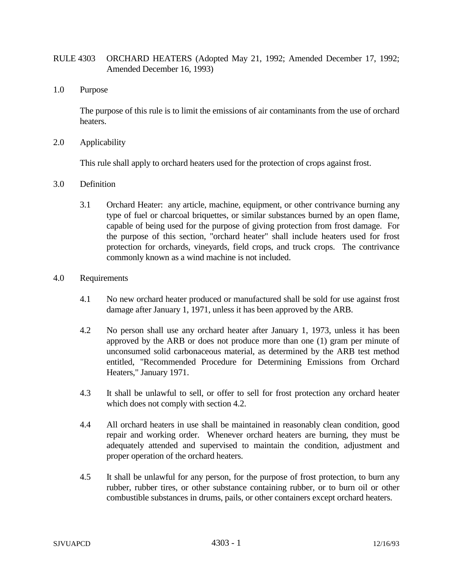## RULE 4303 ORCHARD HEATERS (Adopted May 21, 1992; Amended December 17, 1992; Amended December 16, 1993)

1.0 Purpose

The purpose of this rule is to limit the emissions of air contaminants from the use of orchard heaters.

2.0 Applicability

This rule shall apply to orchard heaters used for the protection of crops against frost.

- 3.0 Definition
	- 3.1 Orchard Heater: any article, machine, equipment, or other contrivance burning any type of fuel or charcoal briquettes, or similar substances burned by an open flame, capable of being used for the purpose of giving protection from frost damage. For the purpose of this section, "orchard heater" shall include heaters used for frost protection for orchards, vineyards, field crops, and truck crops. The contrivance commonly known as a wind machine is not included.
- 4.0 Requirements
	- 4.1 No new orchard heater produced or manufactured shall be sold for use against frost damage after January 1, 1971, unless it has been approved by the ARB.
	- 4.2 No person shall use any orchard heater after January 1, 1973, unless it has been approved by the ARB or does not produce more than one (1) gram per minute of unconsumed solid carbonaceous material, as determined by the ARB test method entitled, "Recommended Procedure for Determining Emissions from Orchard Heaters," January 1971.
	- 4.3 It shall be unlawful to sell, or offer to sell for frost protection any orchard heater which does not comply with section 4.2.
	- 4.4 All orchard heaters in use shall be maintained in reasonably clean condition, good repair and working order. Whenever orchard heaters are burning, they must be adequately attended and supervised to maintain the condition, adjustment and proper operation of the orchard heaters.
	- 4.5 It shall be unlawful for any person, for the purpose of frost protection, to burn any rubber, rubber tires, or other substance containing rubber, or to burn oil or other combustible substances in drums, pails, or other containers except orchard heaters.